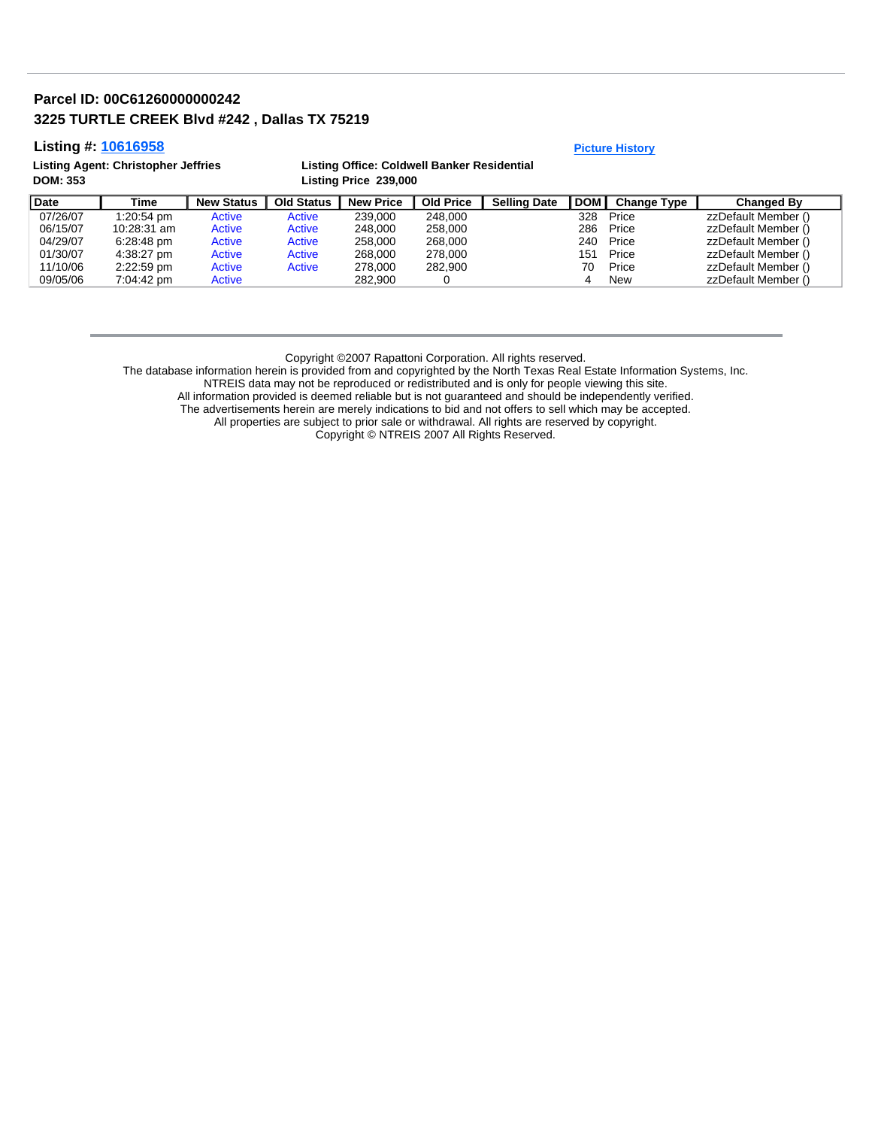## **Parcel ID: 00C61260000000242 3225 TURTLE CREEK Blvd #242 , Dallas TX 75219**

## **Listing #: 10616958 Picture History**

| Listing Agent: Christopher Jeffries | Listing Office: Coldwell Banker Residential |
|-------------------------------------|---------------------------------------------|
| <b>DOM: 353</b>                     | Listing Price 239,000                       |

| <b>Date</b> | Time        | <b>New Status</b> | <b>Old Status</b> | <b>New Price</b> | <b>Old Price</b> | <b>Selling Date</b> | <b>DOM</b> | <b>Change Type</b> | Changed By          |
|-------------|-------------|-------------------|-------------------|------------------|------------------|---------------------|------------|--------------------|---------------------|
| 07/26/07    | 1:20:54 pm  | Active            | Active            | 239.000          | 248.000          |                     | 328        | Price              | zzDefault Member () |
| 06/15/07    | 10:28:31 am | Active            | Active            | 248,000          | 258,000          |                     | 286        | Price              | zzDefault Member () |
| 04/29/07    | 6:28:48 pm  | Active            | Active            | 258,000          | 268,000          |                     | 240        | Price              | zzDefault Member () |
| 01/30/07    | 4:38:27 pm  | Active            | Active            | 268,000          | 278,000          |                     | 151        | Price              | zzDefault Member () |
| 11/10/06    | 2:22:59 pm  | Active            | Active            | 278,000          | 282.900          |                     | 70         | Price              | zzDefault Member () |
| 09/05/06    | 7:04:42 pm  | Active            |                   | 282.900          |                  |                     |            | New                | zzDefault Member () |

Copyright ©2007 Rapattoni Corporation. All rights reserved.

The database information herein is provided from and copyrighted by the North Texas Real Estate Information Systems, Inc.

NTREIS data may not be reproduced or redistributed and is only for people viewing this site.

All information provided is deemed reliable but is not guaranteed and should be independently verified.

The advertisements herein are merely indications to bid and not offers to sell which may be accepted.

All properties are subject to prior sale or withdrawal. All rights are reserved by copyright.

Copyright © NTREIS 2007 All Rights Reserved.